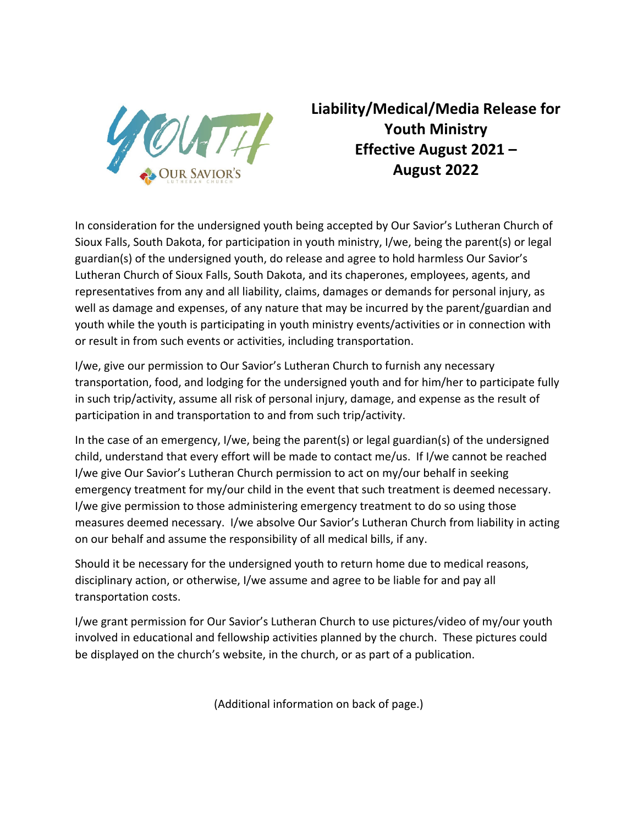

## **Liability/Medical/Media Release for Youth Ministry Effective August 2021 – August 2022**

In consideration for the undersigned youth being accepted by Our Savior's Lutheran Church of Sioux Falls, South Dakota, for participation in youth ministry, I/we, being the parent(s) or legal guardian(s) of the undersigned youth, do release and agree to hold harmless Our Savior's Lutheran Church of Sioux Falls, South Dakota, and its chaperones, employees, agents, and representatives from any and all liability, claims, damages or demands for personal injury, as well as damage and expenses, of any nature that may be incurred by the parent/guardian and youth while the youth is participating in youth ministry events/activities or in connection with or result in from such events or activities, including transportation.

I/we, give our permission to Our Savior's Lutheran Church to furnish any necessary transportation, food, and lodging for the undersigned youth and for him/her to participate fully in such trip/activity, assume all risk of personal injury, damage, and expense as the result of participation in and transportation to and from such trip/activity.

In the case of an emergency, I/we, being the parent(s) or legal guardian(s) of the undersigned child, understand that every effort will be made to contact me/us. If I/we cannot be reached I/we give Our Savior's Lutheran Church permission to act on my/our behalf in seeking emergency treatment for my/our child in the event that such treatment is deemed necessary. I/we give permission to those administering emergency treatment to do so using those measures deemed necessary. I/we absolve Our Savior's Lutheran Church from liability in acting on our behalf and assume the responsibility of all medical bills, if any.

Should it be necessary for the undersigned youth to return home due to medical reasons, disciplinary action, or otherwise, I/we assume and agree to be liable for and pay all transportation costs.

I/we grant permission for Our Savior's Lutheran Church to use pictures/video of my/our youth involved in educational and fellowship activities planned by the church. These pictures could be displayed on the church's website, in the church, or as part of a publication.

(Additional information on back of page.)